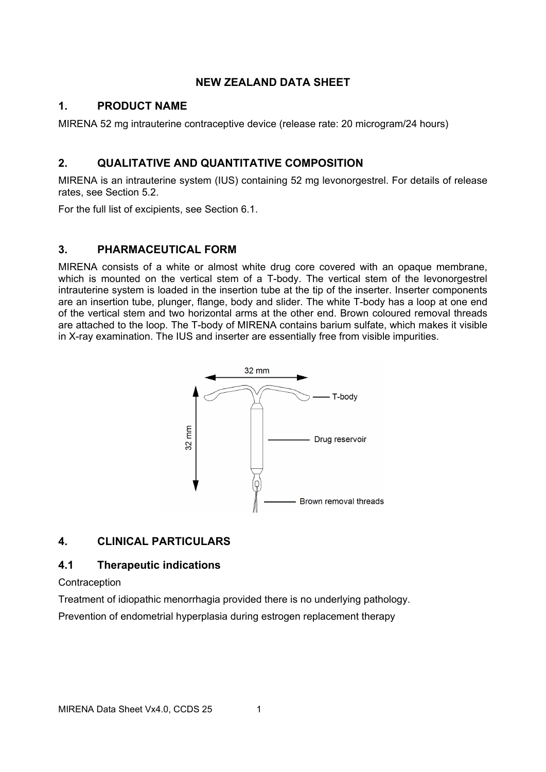# **NEW ZEALAND DATA SHEET**

# **1. PRODUCT NAME**

MIRENA 52 mg intrauterine contraceptive device (release rate: 20 microgram/24 hours)

# **2. QUALITATIVE AND QUANTITATIVE COMPOSITION**

MIRENA is an intrauterine system (IUS) containing 52 mg levonorgestrel. For details of release rates, see Section [5.2.](#page-12-0)

For the full list of excipients, see Section 6.1.

# **3. PHARMACEUTICAL FORM**

MIRENA consists of a white or almost white drug core covered with an opaque membrane, which is mounted on the vertical stem of a T-body. The vertical stem of the levonorgestrel intrauterine system is loaded in the insertion tube at the tip of the inserter. Inserter components are an insertion tube, plunger, flange, body and slider. The white T-body has a loop at one end of the vertical stem and two horizontal arms at the other end. Brown coloured removal threads are attached to the loop. The T-body of MIRENA contains barium sulfate, which makes it visible in X-ray examination. The IUS and inserter are essentially free from visible impurities.



# **4. CLINICAL PARTICULARS**

# **4.1 Therapeutic indications**

**Contraception** 

Treatment of idiopathic menorrhagia provided there is no underlying pathology. Prevention of endometrial hyperplasia during estrogen replacement therapy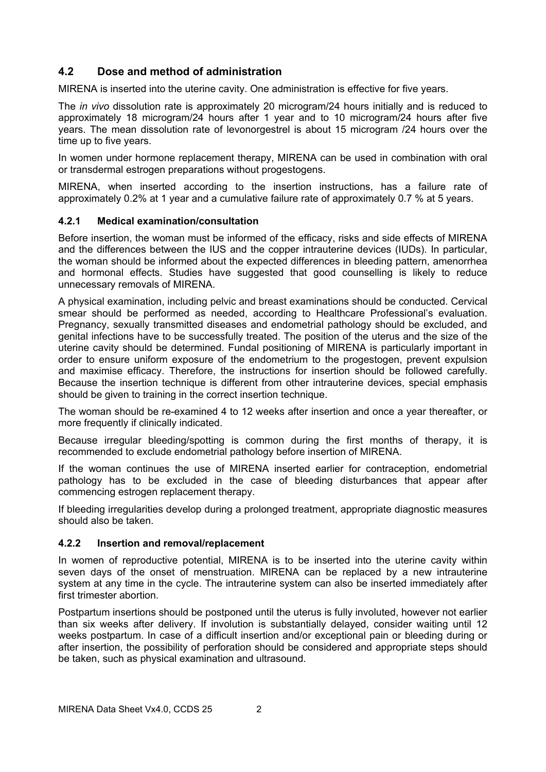# **4.2 Dose and method of administration**

MIRENA is inserted into the uterine cavity. One administration is effective for five years.

The *in vivo* dissolution rate is approximately 20 microgram/24 hours initially and is reduced to approximately 18 microgram/24 hours after 1 year and to 10 microgram/24 hours after five years. The mean dissolution rate of levonorgestrel is about 15 microgram /24 hours over the time up to five years.

In women under hormone replacement therapy, MIRENA can be used in combination with oral or transdermal estrogen preparations without progestogens.

MIRENA, when inserted according to the insertion instructions, has a failure rate of approximately 0.2% at 1 year and a cumulative failure rate of approximately 0.7 % at 5 years.

#### <span id="page-1-0"></span>**4.2.1 Medical examination/consultation**

Before insertion, the woman must be informed of the efficacy, risks and side effects of MIRENA and the differences between the IUS and the copper intrauterine devices (IUDs). In particular, the woman should be informed about the expected differences in bleeding pattern, amenorrhea and hormonal effects. Studies have suggested that good counselling is likely to reduce unnecessary removals of MIRENA.

A physical examination, including pelvic and breast examinations should be conducted. Cervical smear should be performed as needed, according to Healthcare Professional's evaluation. Pregnancy, sexually transmitted diseases and endometrial pathology should be excluded, and genital infections have to be successfully treated. The position of the uterus and the size of the uterine cavity should be determined. Fundal positioning of MIRENA is particularly important in order to ensure uniform exposure of the endometrium to the progestogen, prevent expulsion and maximise efficacy. Therefore, the instructions for insertion should be followed carefully. Because the insertion technique is different from other intrauterine devices, special emphasis should be given to training in the correct insertion technique.

The woman should be re-examined 4 to 12 weeks after insertion and once a year thereafter, or more frequently if clinically indicated.

Because irregular bleeding/spotting is common during the first months of therapy, it is recommended to exclude endometrial pathology before insertion of MIRENA.

If the woman continues the use of MIRENA inserted earlier for contraception, endometrial pathology has to be excluded in the case of bleeding disturbances that appear after commencing estrogen replacement therapy.

If bleeding irregularities develop during a prolonged treatment, appropriate diagnostic measures should also be taken.

#### <span id="page-1-1"></span>**4.2.2 Insertion and removal/replacement**

In women of reproductive potential, MIRENA is to be inserted into the uterine cavity within seven days of the onset of menstruation. MIRENA can be replaced by a new intrauterine system at any time in the cycle. The intrauterine system can also be inserted immediately after first trimester abortion

Postpartum insertions should be postponed until the uterus is fully involuted, however not earlier than six weeks after delivery. If involution is substantially delayed, consider waiting until 12 weeks postpartum. In case of a difficult insertion and/or exceptional pain or bleeding during or after insertion, the possibility of perforation should be considered and appropriate steps should be taken, such as physical examination and ultrasound.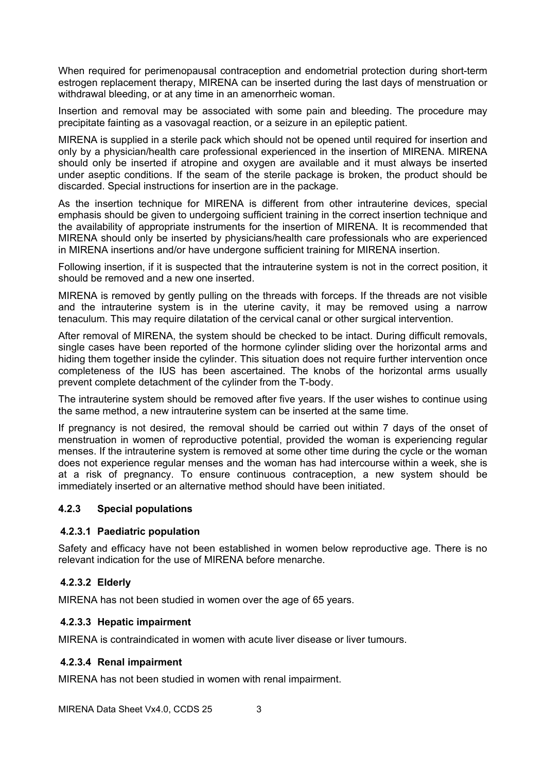When required for perimenopausal contraception and endometrial protection during short-term estrogen replacement therapy, MIRENA can be inserted during the last days of menstruation or withdrawal bleeding, or at any time in an amenorrheic woman.

Insertion and removal may be associated with some pain and bleeding. The procedure may precipitate fainting as a vasovagal reaction, or a seizure in an epileptic patient.

MIRENA is supplied in a sterile pack which should not be opened until required for insertion and only by a physician/health care professional experienced in the insertion of MIRENA. MIRENA should only be inserted if atropine and oxygen are available and it must always be inserted under aseptic conditions. If the seam of the sterile package is broken, the product should be discarded. Special instructions for insertion are in the package.

As the insertion technique for MIRENA is different from other intrauterine devices, special emphasis should be given to undergoing sufficient training in the correct insertion technique and the availability of appropriate instruments for the insertion of MIRENA. It is recommended that MIRENA should only be inserted by physicians/health care professionals who are experienced in MIRENA insertions and/or have undergone sufficient training for MIRENA insertion.

Following insertion, if it is suspected that the intrauterine system is not in the correct position, it should be removed and a new one inserted.

MIRENA is removed by gently pulling on the threads with forceps. If the threads are not visible and the intrauterine system is in the uterine cavity, it may be removed using a narrow tenaculum. This may require dilatation of the cervical canal or other surgical intervention.

After removal of MIRENA, the system should be checked to be intact. During difficult removals, single cases have been reported of the hormone cylinder sliding over the horizontal arms and hiding them together inside the cylinder. This situation does not require further intervention once completeness of the IUS has been ascertained. The knobs of the horizontal arms usually prevent complete detachment of the cylinder from the T-body.

The intrauterine system should be removed after five years. If the user wishes to continue using the same method, a new intrauterine system can be inserted at the same time.

If pregnancy is not desired, the removal should be carried out within 7 days of the onset of menstruation in women of reproductive potential, provided the woman is experiencing regular menses. If the intrauterine system is removed at some other time during the cycle or the woman does not experience regular menses and the woman has had intercourse within a week, she is at a risk of pregnancy. To ensure continuous contraception, a new system should be immediately inserted or an alternative method should have been initiated.

#### **4.2.3 Special populations**

#### **4.2.3.1 Paediatric population**

Safety and efficacy have not been established in women below reproductive age. There is no relevant indication for the use of MIRENA before menarche.

# **4.2.3.2 Elderly**

MIRENA has not been studied in women over the age of 65 years.

#### **4.2.3.3 Hepatic impairment**

MIRENA is contraindicated in women with acute liver disease or liver tumours.

#### **4.2.3.4 Renal impairment**

MIRENA has not been studied in women with renal impairment.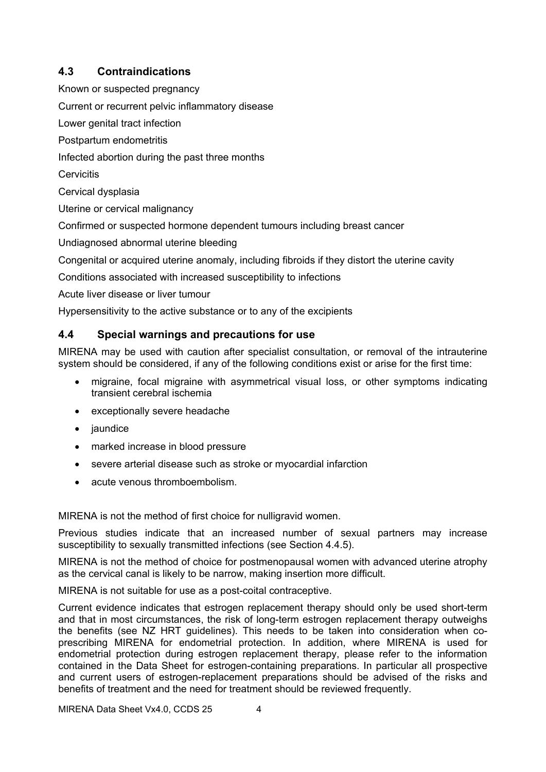# <span id="page-3-0"></span>**4.3 Contraindications**

Known or suspected pregnancy

Current or recurrent pelvic inflammatory disease

Lower genital tract infection

Postpartum endometritis

Infected abortion during the past three months

**Cervicitis** 

Cervical dysplasia

Uterine or cervical malignancy

Confirmed or suspected hormone dependent tumours including breast cancer

Undiagnosed abnormal uterine bleeding

Congenital or acquired uterine anomaly, including fibroids if they distort the uterine cavity

Conditions associated with increased susceptibility to infections

Acute liver disease or liver tumour

Hypersensitivity to the active substance or to any of the excipients

# <span id="page-3-1"></span>**4.4 Special warnings and precautions for use**

MIRENA may be used with caution after specialist consultation, or removal of the intrauterine system should be considered, if any of the following conditions exist or arise for the first time:

- migraine, focal migraine with asymmetrical visual loss, or other symptoms indicating transient cerebral ischemia
- exceptionally severe headache
- jaundice
- marked increase in blood pressure
- severe arterial disease such as stroke or myocardial infarction
- acute venous thromboembolism.

MIRENA is not the method of first choice for nulligravid women.

Previous studies indicate that an increased number of sexual partners may increase susceptibility to sexually transmitted infections (see Section [4.4.5\)](#page-5-0).

MIRENA is not the method of choice for postmenopausal women with advanced uterine atrophy as the cervical canal is likely to be narrow, making insertion more difficult.

MIRENA is not suitable for use as a post-coital contraceptive.

Current evidence indicates that estrogen replacement therapy should only be used short-term and that in most circumstances, the risk of long-term estrogen replacement therapy outweighs the benefits (see NZ HRT guidelines). This needs to be taken into consideration when coprescribing MIRENA for endometrial protection. In addition, where MIRENA is used for endometrial protection during estrogen replacement therapy, please refer to the information contained in the Data Sheet for estrogen-containing preparations. In particular all prospective and current users of estrogen-replacement preparations should be advised of the risks and benefits of treatment and the need for treatment should be reviewed frequently.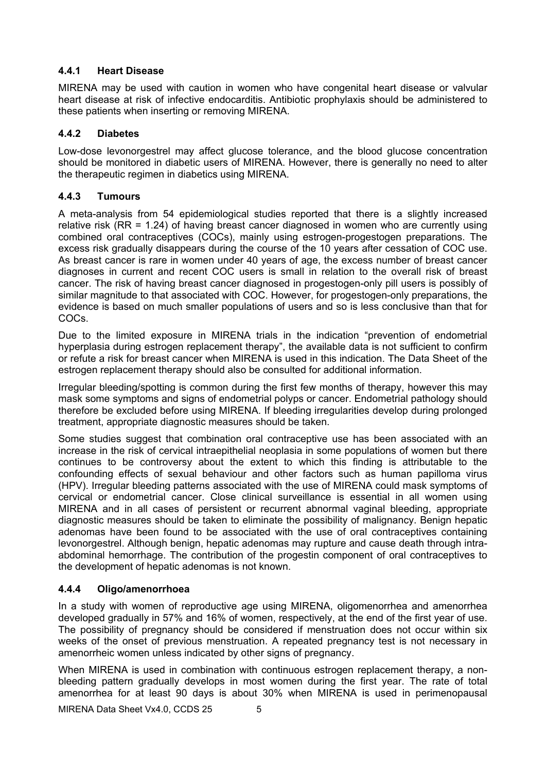### **4.4.1 Heart Disease**

MIRENA may be used with caution in women who have congenital heart disease or valvular heart disease at risk of infective endocarditis. Antibiotic prophylaxis should be administered to these patients when inserting or removing MIRENA.

### **4.4.2 Diabetes**

Low-dose levonorgestrel may affect glucose tolerance, and the blood glucose concentration should be monitored in diabetic users of MIRENA. However, there is generally no need to alter the therapeutic regimen in diabetics using MIRENA.

### **4.4.3 Tumours**

A meta-analysis from 54 epidemiological studies reported that there is a slightly increased relative risk (RR = 1.24) of having breast cancer diagnosed in women who are currently using combined oral contraceptives (COCs), mainly using estrogen-progestogen preparations. The excess risk gradually disappears during the course of the 10 years after cessation of COC use. As breast cancer is rare in women under 40 years of age, the excess number of breast cancer diagnoses in current and recent COC users is small in relation to the overall risk of breast cancer. The risk of having breast cancer diagnosed in progestogen-only pill users is possibly of similar magnitude to that associated with COC. However, for progestogen-only preparations, the evidence is based on much smaller populations of users and so is less conclusive than that for COCs.

Due to the limited exposure in MIRENA trials in the indication "prevention of endometrial hyperplasia during estrogen replacement therapy", the available data is not sufficient to confirm or refute a risk for breast cancer when MIRENA is used in this indication. The Data Sheet of the estrogen replacement therapy should also be consulted for additional information.

Irregular bleeding/spotting is common during the first few months of therapy, however this may mask some symptoms and signs of endometrial polyps or cancer. Endometrial pathology should therefore be excluded before using MIRENA. If bleeding irregularities develop during prolonged treatment, appropriate diagnostic measures should be taken.

Some studies suggest that combination oral contraceptive use has been associated with an increase in the risk of cervical intraepithelial neoplasia in some populations of women but there continues to be controversy about the extent to which this finding is attributable to the confounding effects of sexual behaviour and other factors such as human papilloma virus (HPV). Irregular bleeding patterns associated with the use of MIRENA could mask symptoms of cervical or endometrial cancer. Close clinical surveillance is essential in all women using MIRENA and in all cases of persistent or recurrent abnormal vaginal bleeding, appropriate diagnostic measures should be taken to eliminate the possibility of malignancy. Benign hepatic adenomas have been found to be associated with the use of oral contraceptives containing levonorgestrel. Although benign, hepatic adenomas may rupture and cause death through intraabdominal hemorrhage. The contribution of the progestin component of oral contraceptives to the development of hepatic adenomas is not known.

# **4.4.4 Oligo/amenorrhoea**

In a study with women of reproductive age using MIRENA, oligomenorrhea and amenorrhea developed gradually in 57% and 16% of women, respectively, at the end of the first year of use. The possibility of pregnancy should be considered if menstruation does not occur within six weeks of the onset of previous menstruation. A repeated pregnancy test is not necessary in amenorrheic women unless indicated by other signs of pregnancy.

When MIRENA is used in combination with continuous estrogen replacement therapy, a nonbleeding pattern gradually develops in most women during the first year. The rate of total amenorrhea for at least 90 days is about 30% when MIRENA is used in perimenopausal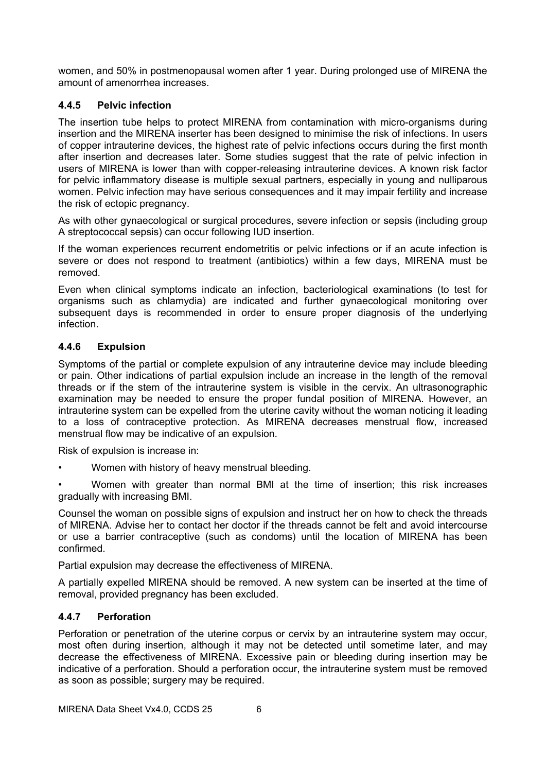women, and 50% in postmenopausal women after 1 year. During prolonged use of MIRENA the amount of amenorrhea increases.

### <span id="page-5-0"></span>**4.4.5 Pelvic infection**

The insertion tube helps to protect MIRENA from contamination with micro-organisms during insertion and the MIRENA inserter has been designed to minimise the risk of infections. In users of copper intrauterine devices, the highest rate of pelvic infections occurs during the first month after insertion and decreases later. Some studies suggest that the rate of pelvic infection in users of MIRENA is lower than with copper-releasing intrauterine devices. A known risk factor for pelvic inflammatory disease is multiple sexual partners, especially in young and nulliparous women. Pelvic infection may have serious consequences and it may impair fertility and increase the risk of ectopic pregnancy.

As with other gynaecological or surgical procedures, severe infection or sepsis (including group A streptococcal sepsis) can occur following IUD insertion.

If the woman experiences recurrent endometritis or pelvic infections or if an acute infection is severe or does not respond to treatment (antibiotics) within a few days, MIRENA must be removed.

Even when clinical symptoms indicate an infection, bacteriological examinations (to test for organisms such as chlamydia) are indicated and further gynaecological monitoring over subsequent days is recommended in order to ensure proper diagnosis of the underlying infection.

### **4.4.6 Expulsion**

Symptoms of the partial or complete expulsion of any intrauterine device may include bleeding or pain. Other indications of partial expulsion include an increase in the length of the removal threads or if the stem of the intrauterine system is visible in the cervix. An ultrasonographic examination may be needed to ensure the proper fundal position of MIRENA. However, an intrauterine system can be expelled from the uterine cavity without the woman noticing it leading to a loss of contraceptive protection. As MIRENA decreases menstrual flow, increased menstrual flow may be indicative of an expulsion.

Risk of expulsion is increase in:

• Women with history of heavy menstrual bleeding.

• Women with greater than normal BMI at the time of insertion; this risk increases gradually with increasing BMI.

Counsel the woman on possible signs of expulsion and instruct her on how to check the threads of MIRENA. Advise her to contact her doctor if the threads cannot be felt and avoid intercourse or use a barrier contraceptive (such as condoms) until the location of MIRENA has been confirmed.

Partial expulsion may decrease the effectiveness of MIRENA.

A partially expelled MIRENA should be removed. A new system can be inserted at the time of removal, provided pregnancy has been excluded.

#### <span id="page-5-1"></span>**4.4.7 Perforation**

Perforation or penetration of the uterine corpus or cervix by an intrauterine system may occur, most often during insertion, although it may not be detected until sometime later, and may decrease the effectiveness of MIRENA. Excessive pain or bleeding during insertion may be indicative of a perforation. Should a perforation occur, the intrauterine system must be removed as soon as possible; surgery may be required.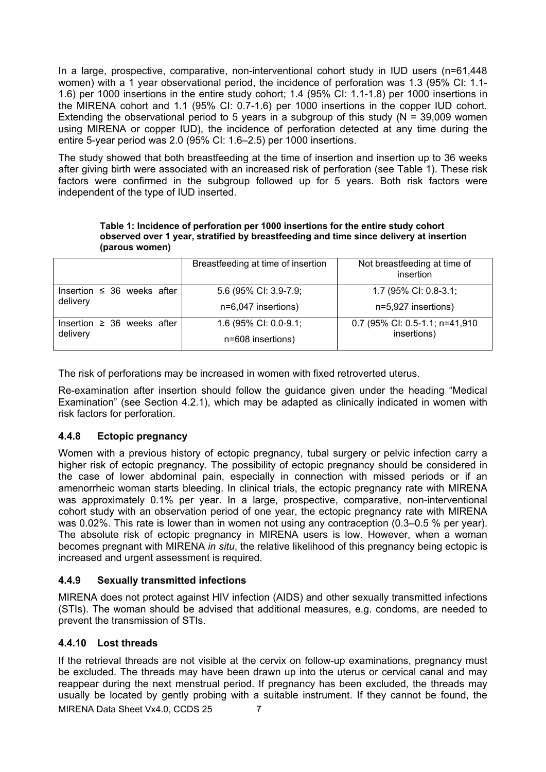In a large, prospective, comparative, non-interventional cohort study in IUD users (n=61,448 women) with a 1 year observational period, the incidence of perforation was 1.3 (95% CI: 1.1- 1.6) per 1000 insertions in the entire study cohort; 1.4 (95% CI: 1.1-1.8) per 1000 insertions in the MIRENA cohort and 1.1 (95% CI: 0.7-1.6) per 1000 insertions in the copper IUD cohort. Extending the observational period to 5 years in a subgroup of this study ( $N = 39,009$  women using MIRENA or copper IUD), the incidence of perforation detected at any time during the entire 5-year period was 2.0 (95% CI: 1.6–2.5) per 1000 insertions.

The study showed that both breastfeeding at the time of insertion and insertion up to 36 weeks after giving birth were associated with an increased risk of perforation (see [Table 1\)](#page-6-0). These risk factors were confirmed in the subgroup followed up for 5 years. Both risk factors were independent of the type of IUD inserted.

**Table 1: Incidence of perforation per 1000 insertions for the entire study cohort observed over 1 year, stratified by breastfeeding and time since delivery at insertion (parous women)**

<span id="page-6-0"></span>

|                                             | Breastfeeding at time of insertion | Not breastfeeding at time of<br>insertion     |  |
|---------------------------------------------|------------------------------------|-----------------------------------------------|--|
| Insertion $\leq$ 36 weeks after             | 5.6 (95% CI: 3.9-7.9;              | 1.7 (95% CI: 0.8-3.1;                         |  |
| delivery                                    | n=6,047 insertions)                | n=5,927 insertions)                           |  |
| Insertion $\geq$ 36 weeks after<br>delivery | 1.6 (95% CI: 0.0-9.1;              | 0.7 (95% CI: 0.5-1.1; n=41,910<br>insertions) |  |
|                                             | n=608 insertions)                  |                                               |  |

The risk of perforations may be increased in women with fixed retroverted uterus.

Re-examination after insertion should follow the guidance given under the heading "Medical Examination" (see Section [4.2.1\)](#page-1-0), which may be adapted as clinically indicated in women with risk factors for perforation.

# **4.4.8 Ectopic pregnancy**

Women with a previous history of ectopic pregnancy, tubal surgery or pelvic infection carry a higher risk of ectopic pregnancy. The possibility of ectopic pregnancy should be considered in the case of lower abdominal pain, especially in connection with missed periods or if an amenorrheic woman starts bleeding. In clinical trials, the ectopic pregnancy rate with MIRENA was approximately 0.1% per year. In a large, prospective, comparative, non-interventional cohort study with an observation period of one year, the ectopic pregnancy rate with MIRENA was 0.02%. This rate is lower than in women not using any contraception (0.3–0.5 % per year). The absolute risk of ectopic pregnancy in MIRENA users is low. However, when a woman becomes pregnant with MIRENA *in situ*, the relative likelihood of this pregnancy being ectopic is increased and urgent assessment is required.

# **4.4.9 Sexually transmitted infections**

MIRENA does not protect against HIV infection (AIDS) and other sexually transmitted infections (STIs). The woman should be advised that additional measures, e.g. condoms, are needed to prevent the transmission of STIs.

# **4.4.10 Lost threads**

MIRENA Data Sheet Vx4.0, CCDS 25 7 If the retrieval threads are not visible at the cervix on follow-up examinations, pregnancy must be excluded. The threads may have been drawn up into the uterus or cervical canal and may reappear during the next menstrual period. If pregnancy has been excluded, the threads may usually be located by gently probing with a suitable instrument. If they cannot be found, the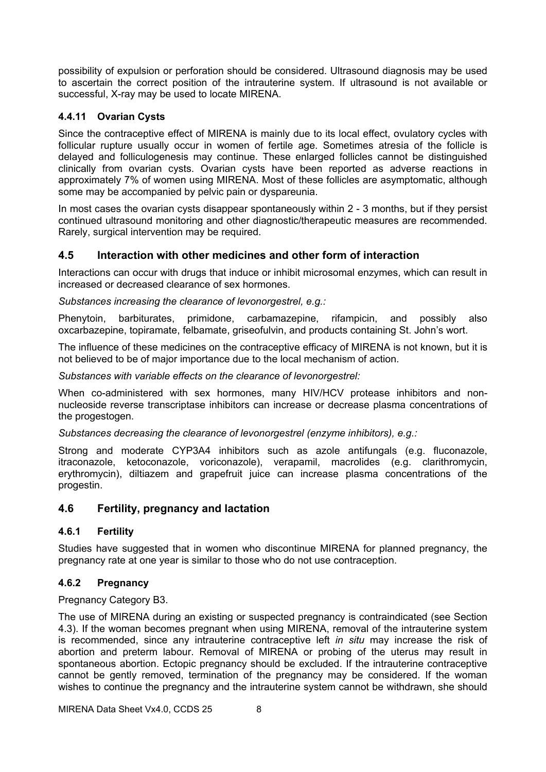possibility of expulsion or perforation should be considered. Ultrasound diagnosis may be used to ascertain the correct position of the intrauterine system. If ultrasound is not available or successful, X-ray may be used to locate MIRENA.

# **4.4.11 Ovarian Cysts**

Since the contraceptive effect of MIRENA is mainly due to its local effect, ovulatory cycles with follicular rupture usually occur in women of fertile age. Sometimes atresia of the follicle is delayed and folliculogenesis may continue. These enlarged follicles cannot be distinguished clinically from ovarian cysts. Ovarian cysts have been reported as adverse reactions in approximately 7% of women using MIRENA. Most of these follicles are asymptomatic, although some may be accompanied by pelvic pain or dyspareunia.

In most cases the ovarian cysts disappear spontaneously within 2 - 3 months, but if they persist continued ultrasound monitoring and other diagnostic/therapeutic measures are recommended. Rarely, surgical intervention may be required.

# **4.5 Interaction with other medicines and other form of interaction**

Interactions can occur with drugs that induce or inhibit microsomal enzymes, which can result in increased or decreased clearance of sex hormones.

*Substances increasing the clearance of levonorgestrel, e.g.:*

Phenytoin, barbiturates, primidone, carbamazepine, rifampicin, and possibly also oxcarbazepine, topiramate, felbamate, griseofulvin, and products containing St. John's wort.

The influence of these medicines on the contraceptive efficacy of MIRENA is not known, but it is not believed to be of major importance due to the local mechanism of action.

*Substances with variable effects on the clearance of levonorgestrel:*

When co-administered with sex hormones, many HIV/HCV protease inhibitors and nonnucleoside reverse transcriptase inhibitors can increase or decrease plasma concentrations of the progestogen.

*Substances decreasing the clearance of levonorgestrel (enzyme inhibitors), e.g.:*

Strong and moderate CYP3A4 inhibitors such as azole antifungals (e.g. fluconazole, itraconazole, ketoconazole, voriconazole), verapamil, macrolides (e.g. clarithromycin, erythromycin), diltiazem and grapefruit juice can increase plasma concentrations of the progestin.

# **4.6 Fertility, pregnancy and lactation**

# **4.6.1 Fertility**

Studies have suggested that in women who discontinue MIRENA for planned pregnancy, the pregnancy rate at one year is similar to those who do not use contraception.

# **4.6.2 Pregnancy**

Pregnancy Category B3.

The use of MIRENA during an existing or suspected pregnancy is contraindicated (see Section [4.3\)](#page-3-0). If the woman becomes pregnant when using MIRENA, removal of the intrauterine system is recommended, since any intrauterine contraceptive left *in situ* may increase the risk of abortion and preterm labour. Removal of MIRENA or probing of the uterus may result in spontaneous abortion. Ectopic pregnancy should be excluded. If the intrauterine contraceptive cannot be gently removed, termination of the pregnancy may be considered. If the woman wishes to continue the pregnancy and the intrauterine system cannot be withdrawn, she should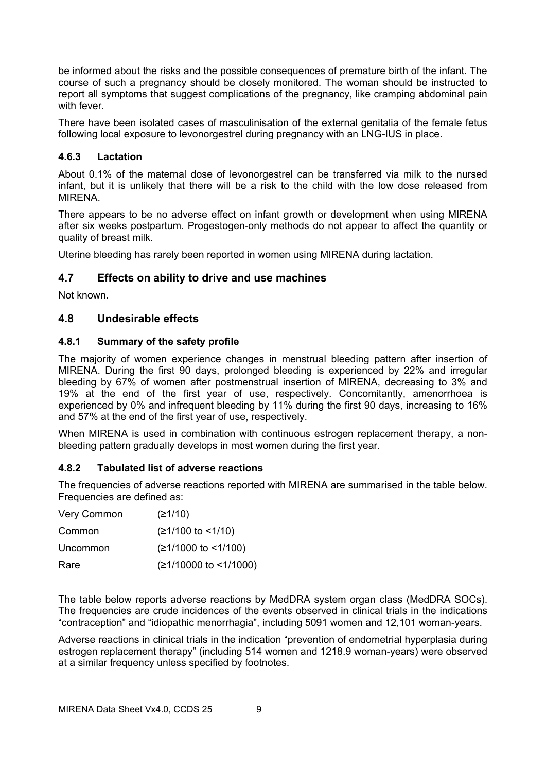be informed about the risks and the possible consequences of premature birth of the infant. The course of such a pregnancy should be closely monitored. The woman should be instructed to report all symptoms that suggest complications of the pregnancy, like cramping abdominal pain with fever.

There have been isolated cases of masculinisation of the external genitalia of the female fetus following local exposure to levonorgestrel during pregnancy with an LNG-IUS in place.

### **4.6.3 Lactation**

About 0.1% of the maternal dose of levonorgestrel can be transferred via milk to the nursed infant, but it is unlikely that there will be a risk to the child with the low dose released from MIRENA.

There appears to be no adverse effect on infant growth or development when using MIRENA after six weeks postpartum. Progestogen-only methods do not appear to affect the quantity or quality of breast milk.

Uterine bleeding has rarely been reported in women using MIRENA during lactation.

# **4.7 Effects on ability to drive and use machines**

Not known.

# **4.8 Undesirable effects**

### **4.8.1 Summary of the safety profile**

The majority of women experience changes in menstrual bleeding pattern after insertion of MIRENA. During the first 90 days, prolonged bleeding is experienced by 22% and irregular bleeding by 67% of women after postmenstrual insertion of MIRENA, decreasing to 3% and 19% at the end of the first year of use, respectively. Concomitantly, amenorrhoea is experienced by 0% and infrequent bleeding by 11% during the first 90 days, increasing to 16% and 57% at the end of the first year of use, respectively.

When MIRENA is used in combination with continuous estrogen replacement therapy, a nonbleeding pattern gradually develops in most women during the first year.

#### **4.8.2 Tabulated list of adverse reactions**

The frequencies of adverse reactions reported with MIRENA are summarised in the table below. Frequencies are defined as:

| Very Common | (≥1/10)                 |
|-------------|-------------------------|
| Common      | $(≥1/100$ to <1/10)     |
| Uncommon    | $(≥1/1000$ to <1/100)   |
| Rare        | $(≥1/10000$ to <1/1000) |

The table below reports adverse reactions by MedDRA system organ class (MedDRA SOCs). The frequencies are crude incidences of the events observed in clinical trials in the indications "contraception" and "idiopathic menorrhagia", including 5091 women and 12,101 woman-years.

Adverse reactions in clinical trials in the indication "prevention of endometrial hyperplasia during estrogen replacement therapy" (including 514 women and 1218.9 woman-years) were observed at a similar frequency unless specified by footnotes.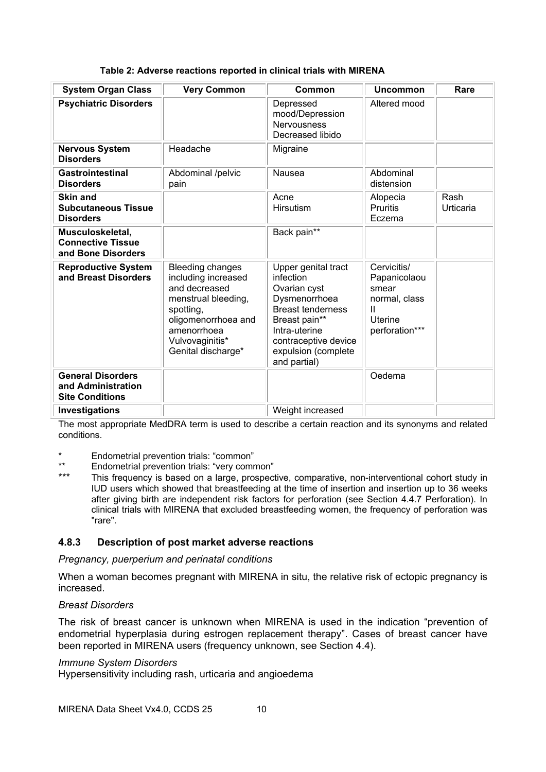| <b>System Organ Class</b>                                                | <b>Very Common</b>                                                                                                                                                                 | Common                                                                                                                                                                                         | <b>Uncommon</b>                                                                                    | Rare              |
|--------------------------------------------------------------------------|------------------------------------------------------------------------------------------------------------------------------------------------------------------------------------|------------------------------------------------------------------------------------------------------------------------------------------------------------------------------------------------|----------------------------------------------------------------------------------------------------|-------------------|
| <b>Psychiatric Disorders</b>                                             |                                                                                                                                                                                    | Depressed<br>mood/Depression<br><b>Nervousness</b><br>Decreased libido                                                                                                                         | Altered mood                                                                                       |                   |
| <b>Nervous System</b><br><b>Disorders</b>                                | Headache                                                                                                                                                                           | Migraine                                                                                                                                                                                       |                                                                                                    |                   |
| <b>Gastrointestinal</b><br><b>Disorders</b>                              | Abdominal /pelvic<br>pain                                                                                                                                                          | Nausea                                                                                                                                                                                         | Abdominal<br>distension                                                                            |                   |
| <b>Skin and</b><br><b>Subcutaneous Tissue</b><br><b>Disorders</b>        |                                                                                                                                                                                    | Acne<br><b>Hirsutism</b>                                                                                                                                                                       | Alopecia<br><b>Pruritis</b><br>Eczema                                                              | Rash<br>Urticaria |
| Musculoskeletal,<br><b>Connective Tissue</b><br>and Bone Disorders       |                                                                                                                                                                                    | Back pain**                                                                                                                                                                                    |                                                                                                    |                   |
| <b>Reproductive System</b><br>and Breast Disorders                       | <b>Bleeding changes</b><br>including increased<br>and decreased<br>menstrual bleeding,<br>spotting,<br>oligomenorrhoea and<br>amenorrhoea<br>Vulvovaginitis*<br>Genital discharge* | Upper genital tract<br>infection<br>Ovarian cyst<br>Dysmenorrhoea<br><b>Breast tenderness</b><br>Breast pain**<br>Intra-uterine<br>contraceptive device<br>expulsion (complete<br>and partial) | Cervicitis/<br>Papanicolaou<br>smear<br>normal, class<br>$\mathbf{H}$<br>Uterine<br>perforation*** |                   |
| <b>General Disorders</b><br>and Administration<br><b>Site Conditions</b> |                                                                                                                                                                                    |                                                                                                                                                                                                | Oedema                                                                                             |                   |
| Investigations                                                           |                                                                                                                                                                                    | Weight increased                                                                                                                                                                               |                                                                                                    |                   |

The most appropriate MedDRA term is used to describe a certain reaction and its synonyms and related conditions.

- \* Endometrial prevention trials: "common"
- \*\* Endometrial prevention trials: "very common"
- This frequency is based on a large, prospective, comparative, non-interventional cohort study in IUD users which showed that breastfeeding at the time of insertion and insertion up to 36 weeks after giving birth are independent risk factors for perforation (see Section [4.4.7](#page-5-1) [Perforation\)](#page-5-1). In clinical trials with MIRENA that excluded breastfeeding women, the frequency of perforation was "rare".

# **4.8.3 Description of post market adverse reactions**

*Pregnancy, puerperium and perinatal conditions*

When a woman becomes pregnant with MIRENA in situ, the relative risk of ectopic pregnancy is increased.

#### *Breast Disorders*

The risk of breast cancer is unknown when MIRENA is used in the indication "prevention of endometrial hyperplasia during estrogen replacement therapy". Cases of breast cancer have been reported in MIRENA users (frequency unknown, see Section [4.4\)](#page-3-1).

#### *Immune System Disorders*

Hypersensitivity including rash, urticaria and angioedema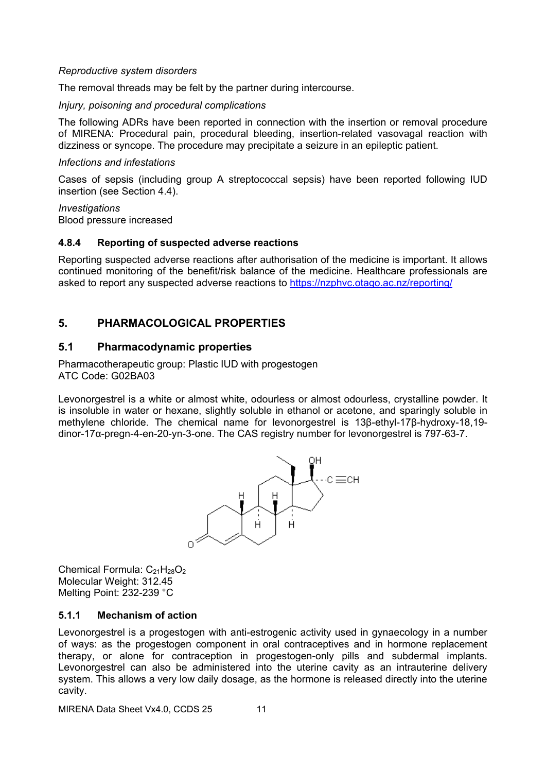#### *Reproductive system disorders*

The removal threads may be felt by the partner during intercourse.

#### *Injury, poisoning and procedural complications*

The following ADRs have been reported in connection with the insertion or removal procedure of MIRENA: Procedural pain, procedural bleeding, insertion-related vasovagal reaction with dizziness or syncope. The procedure may precipitate a seizure in an epileptic patient.

#### *Infections and infestations*

Cases of sepsis (including group A streptococcal sepsis) have been reported following IUD insertion (see Section [4.4\)](#page-3-1).

*Investigations* Blood pressure increased

#### **4.8.4 Reporting of suspected adverse reactions**

Reporting suspected adverse reactions after authorisation of the medicine is important. It allows continued monitoring of the benefit/risk balance of the medicine. Healthcare professionals are asked to report any suspected adverse reactions to <https://nzphvc.otago.ac.nz/reporting/>

# **5. PHARMACOLOGICAL PROPERTIES**

### **5.1 Pharmacodynamic properties**

Pharmacotherapeutic group: Plastic IUD with progestogen ATC Code: G02BA03

Levonorgestrel is a white or almost white, odourless or almost odourless, crystalline powder. It is insoluble in water or hexane, slightly soluble in ethanol or acetone, and sparingly soluble in methylene chloride. The chemical name for levonorgestrel is 13β-ethyl-17β-hydroxy-18,19 dinor-17α-pregn-4-en-20-yn-3-one. The CAS registry number for levonorgestrel is 797-63-7.



Chemical Formula:  $C_{21}H_{28}O_2$ Molecular Weight: 312.45 Melting Point: 232-239 °C

#### **5.1.1 Mechanism of action**

Levonorgestrel is a progestogen with anti-estrogenic activity used in gynaecology in a number of ways: as the progestogen component in oral contraceptives and in hormone replacement therapy, or alone for contraception in progestogen-only pills and subdermal implants. Levonorgestrel can also be administered into the uterine cavity as an intrauterine delivery system. This allows a very low daily dosage, as the hormone is released directly into the uterine cavity.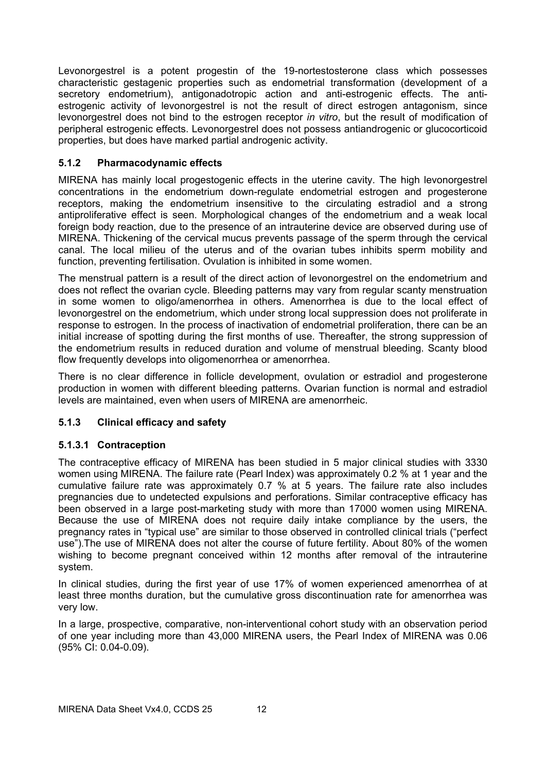Levonorgestrel is a potent progestin of the 19-nortestosterone class which possesses characteristic gestagenic properties such as endometrial transformation (development of a secretory endometrium), antigonadotropic action and anti-estrogenic effects. The antiestrogenic activity of levonorgestrel is not the result of direct estrogen antagonism, since levonorgestrel does not bind to the estrogen receptor *in vitro*, but the result of modification of peripheral estrogenic effects. Levonorgestrel does not possess antiandrogenic or glucocorticoid properties, but does have marked partial androgenic activity.

# **5.1.2 Pharmacodynamic effects**

MIRENA has mainly local progestogenic effects in the uterine cavity. The high levonorgestrel concentrations in the endometrium down-regulate endometrial estrogen and progesterone receptors, making the endometrium insensitive to the circulating estradiol and a strong antiproliferative effect is seen. Morphological changes of the endometrium and a weak local foreign body reaction, due to the presence of an intrauterine device are observed during use of MIRENA. Thickening of the cervical mucus prevents passage of the sperm through the cervical canal. The local milieu of the uterus and of the ovarian tubes inhibits sperm mobility and function, preventing fertilisation. Ovulation is inhibited in some women.

The menstrual pattern is a result of the direct action of levonorgestrel on the endometrium and does not reflect the ovarian cycle. Bleeding patterns may vary from regular scanty menstruation in some women to oligo/amenorrhea in others. Amenorrhea is due to the local effect of levonorgestrel on the endometrium, which under strong local suppression does not proliferate in response to estrogen. In the process of inactivation of endometrial proliferation, there can be an initial increase of spotting during the first months of use. Thereafter, the strong suppression of the endometrium results in reduced duration and volume of menstrual bleeding. Scanty blood flow frequently develops into oligomenorrhea or amenorrhea.

There is no clear difference in follicle development, ovulation or estradiol and progesterone production in women with different bleeding patterns. Ovarian function is normal and estradiol levels are maintained, even when users of MIRENA are amenorrheic.

# **5.1.3 Clinical efficacy and safety**

#### **5.1.3.1 Contraception**

The contraceptive efficacy of MIRENA has been studied in 5 major clinical studies with 3330 women using MIRENA. The failure rate (Pearl Index) was approximately 0.2 % at 1 year and the cumulative failure rate was approximately 0.7 % at 5 years. The failure rate also includes pregnancies due to undetected expulsions and perforations. Similar contraceptive efficacy has been observed in a large post-marketing study with more than 17000 women using MIRENA. Because the use of MIRENA does not require daily intake compliance by the users, the pregnancy rates in "typical use" are similar to those observed in controlled clinical trials ("perfect use").The use of MIRENA does not alter the course of future fertility. About 80% of the women wishing to become pregnant conceived within 12 months after removal of the intrauterine system.

In clinical studies, during the first year of use 17% of women experienced amenorrhea of at least three months duration, but the cumulative gross discontinuation rate for amenorrhea was very low.

In a large, prospective, comparative, non-interventional cohort study with an observation period of one year including more than 43,000 MIRENA users, the Pearl Index of MIRENA was 0.06 (95% CI: 0.04-0.09).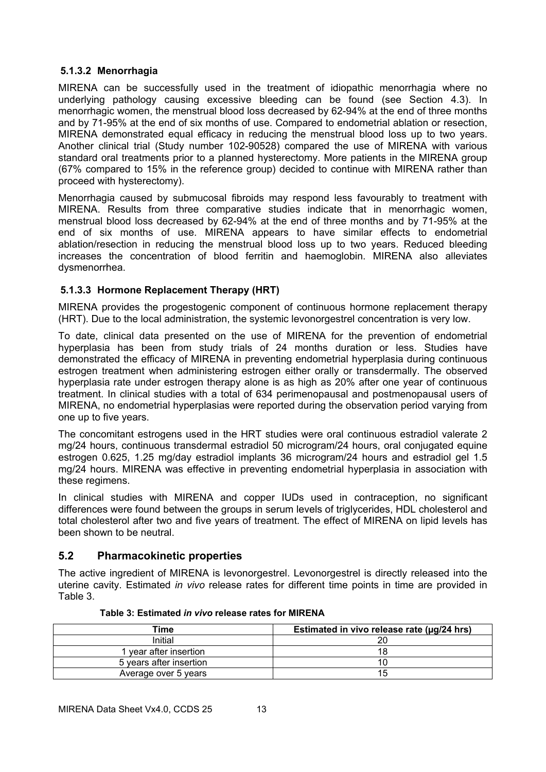### **5.1.3.2 Menorrhagia**

MIRENA can be successfully used in the treatment of idiopathic menorrhagia where no underlying pathology causing excessive bleeding can be found (see Section [4.3\)](#page-3-0). In menorrhagic women, the menstrual blood loss decreased by 62-94% at the end of three months and by 71-95% at the end of six months of use. Compared to endometrial ablation or resection, MIRENA demonstrated equal efficacy in reducing the menstrual blood loss up to two years. Another clinical trial (Study number 102-90528) compared the use of MIRENA with various standard oral treatments prior to a planned hysterectomy. More patients in the MIRENA group (67% compared to 15% in the reference group) decided to continue with MIRENA rather than proceed with hysterectomy).

Menorrhagia caused by submucosal fibroids may respond less favourably to treatment with MIRENA. Results from three comparative studies indicate that in menorrhagic women, menstrual blood loss decreased by 62-94% at the end of three months and by 71-95% at the end of six months of use. MIRENA appears to have similar effects to endometrial ablation/resection in reducing the menstrual blood loss up to two years. Reduced bleeding increases the concentration of blood ferritin and haemoglobin. MIRENA also alleviates dysmenorrhea.

# **5.1.3.3 Hormone Replacement Therapy (HRT)**

MIRENA provides the progestogenic component of continuous hormone replacement therapy (HRT). Due to the local administration, the systemic levonorgestrel concentration is very low.

To date, clinical data presented on the use of MIRENA for the prevention of endometrial hyperplasia has been from study trials of 24 months duration or less. Studies have demonstrated the efficacy of MIRENA in preventing endometrial hyperplasia during continuous estrogen treatment when administering estrogen either orally or transdermally. The observed hyperplasia rate under estrogen therapy alone is as high as 20% after one year of continuous treatment. In clinical studies with a total of 634 perimenopausal and postmenopausal users of MIRENA, no endometrial hyperplasias were reported during the observation period varying from one up to five years.

The concomitant estrogens used in the HRT studies were oral continuous estradiol valerate 2 mg/24 hours, continuous transdermal estradiol 50 microgram/24 hours, oral conjugated equine estrogen 0.625, 1.25 mg/day estradiol implants 36 microgram/24 hours and estradiol gel 1.5 mg/24 hours. MIRENA was effective in preventing endometrial hyperplasia in association with these regimens.

In clinical studies with MIRENA and copper IUDs used in contraception, no significant differences were found between the groups in serum levels of triglycerides, HDL cholesterol and total cholesterol after two and five years of treatment. The effect of MIRENA on lipid levels has been shown to be neutral.

# <span id="page-12-0"></span>**5.2 Pharmacokinetic properties**

The active ingredient of MIRENA is levonorgestrel. Levonorgestrel is directly released into the uterine cavity. Estimated *in vivo* release rates for different time points in time are provided in [Table](#page-12-1) 3.

<span id="page-12-1"></span>

| Time                    | Estimated in vivo release rate (µg/24 hrs) |  |  |
|-------------------------|--------------------------------------------|--|--|
| Initial                 |                                            |  |  |
| l year after insertion  | או                                         |  |  |
| 5 years after insertion | 10                                         |  |  |
| Average over 5 years    | l b                                        |  |  |

#### **Table 3: Estimated** *in vivo* **release rates for MIRENA**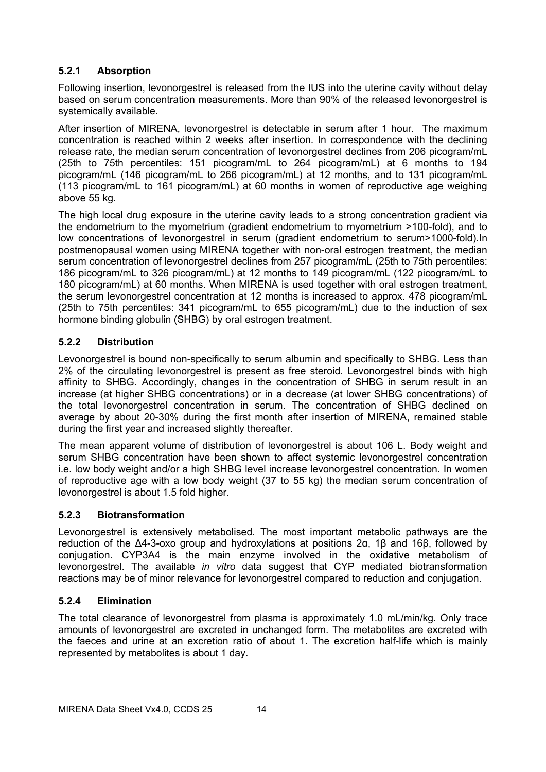# **5.2.1 Absorption**

Following insertion, levonorgestrel is released from the IUS into the uterine cavity without delay based on serum concentration measurements. More than 90% of the released levonorgestrel is systemically available.

After insertion of MIRENA, levonorgestrel is detectable in serum after 1 hour. The maximum concentration is reached within 2 weeks after insertion. In correspondence with the declining release rate, the median serum concentration of levonorgestrel declines from 206 picogram/mL (25th to 75th percentiles: 151 picogram/mL to 264 picogram/mL) at 6 months to 194 picogram/mL (146 picogram/mL to 266 picogram/mL) at 12 months, and to 131 picogram/mL (113 picogram/mL to 161 picogram/mL) at 60 months in women of reproductive age weighing above 55 kg.

The high local drug exposure in the uterine cavity leads to a strong concentration gradient via the endometrium to the myometrium (gradient endometrium to myometrium >100-fold), and to low concentrations of levonorgestrel in serum (gradient endometrium to serum>1000-fold).In postmenopausal women using MIRENA together with non-oral estrogen treatment, the median serum concentration of levonorgestrel declines from 257 picogram/mL (25th to 75th percentiles: 186 picogram/mL to 326 picogram/mL) at 12 months to 149 picogram/mL (122 picogram/mL to 180 picogram/mL) at 60 months. When MIRENA is used together with oral estrogen treatment, the serum levonorgestrel concentration at 12 months is increased to approx. 478 picogram/mL (25th to 75th percentiles: 341 picogram/mL to 655 picogram/mL) due to the induction of sex hormone binding globulin (SHBG) by oral estrogen treatment.

# **5.2.2 Distribution**

Levonorgestrel is bound non-specifically to serum albumin and specifically to SHBG. Less than 2% of the circulating levonorgestrel is present as free steroid. Levonorgestrel binds with high affinity to SHBG. Accordingly, changes in the concentration of SHBG in serum result in an increase (at higher SHBG concentrations) or in a decrease (at lower SHBG concentrations) of the total levonorgestrel concentration in serum. The concentration of SHBG declined on average by about 20-30% during the first month after insertion of MIRENA, remained stable during the first year and increased slightly thereafter.

The mean apparent volume of distribution of levonorgestrel is about 106 L. Body weight and serum SHBG concentration have been shown to affect systemic levonorgestrel concentration i.e. low body weight and/or a high SHBG level increase levonorgestrel concentration. In women of reproductive age with a low body weight (37 to 55 kg) the median serum concentration of levonorgestrel is about 1.5 fold higher.

# **5.2.3 Biotransformation**

Levonorgestrel is extensively metabolised. The most important metabolic pathways are the reduction of the Δ4-3-oxo group and hydroxylations at positions 2α, 1β and 16β, followed by conjugation. CYP3A4 is the main enzyme involved in the oxidative metabolism of levonorgestrel. The available *in vitro* data suggest that CYP mediated biotransformation reactions may be of minor relevance for levonorgestrel compared to reduction and conjugation.

# **5.2.4 Elimination**

The total clearance of levonorgestrel from plasma is approximately 1.0 mL/min/kg. Only trace amounts of levonorgestrel are excreted in unchanged form. The metabolites are excreted with the faeces and urine at an excretion ratio of about 1. The excretion half-life which is mainly represented by metabolites is about 1 day.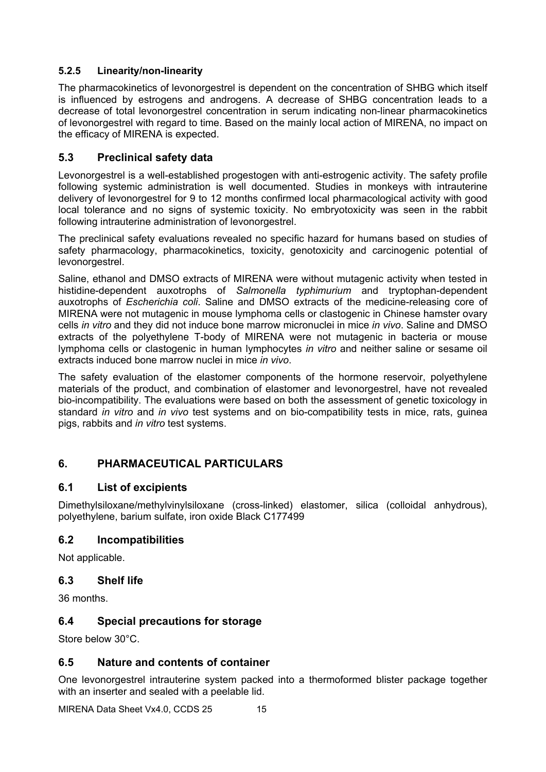# **5.2.5 Linearity/non-linearity**

The pharmacokinetics of levonorgestrel is dependent on the concentration of SHBG which itself is influenced by estrogens and androgens. A decrease of SHBG concentration leads to a decrease of total levonorgestrel concentration in serum indicating non-linear pharmacokinetics of levonorgestrel with regard to time. Based on the mainly local action of MIRENA, no impact on the efficacy of MIRENA is expected.

# **5.3 Preclinical safety data**

Levonorgestrel is a well-established progestogen with anti-estrogenic activity. The safety profile following systemic administration is well documented. Studies in monkeys with intrauterine delivery of levonorgestrel for 9 to 12 months confirmed local pharmacological activity with good local tolerance and no signs of systemic toxicity. No embryotoxicity was seen in the rabbit following intrauterine administration of levonorgestrel.

The preclinical safety evaluations revealed no specific hazard for humans based on studies of safety pharmacology, pharmacokinetics, toxicity, genotoxicity and carcinogenic potential of levonorgestrel.

Saline, ethanol and DMSO extracts of MIRENA were without mutagenic activity when tested in histidine-dependent auxotrophs of *Salmonella typhimurium* and tryptophan-dependent auxotrophs of *Escherichia coli*. Saline and DMSO extracts of the medicine-releasing core of MIRENA were not mutagenic in mouse lymphoma cells or clastogenic in Chinese hamster ovary cells *in vitro* and they did not induce bone marrow micronuclei in mice *in vivo*. Saline and DMSO extracts of the polyethylene T-body of MIRENA were not mutagenic in bacteria or mouse lymphoma cells or clastogenic in human lymphocytes *in vitro* and neither saline or sesame oil extracts induced bone marrow nuclei in mice *in vivo*.

The safety evaluation of the elastomer components of the hormone reservoir, polyethylene materials of the product, and combination of elastomer and levonorgestrel, have not revealed bio-incompatibility. The evaluations were based on both the assessment of genetic toxicology in standard *in vitro* and *in vivo* test systems and on bio-compatibility tests in mice, rats, guinea pigs, rabbits and *in vitro* test systems.

# **6. PHARMACEUTICAL PARTICULARS**

# **6.1 List of excipients**

Dimethylsiloxane/methylvinylsiloxane (cross-linked) elastomer, silica (colloidal anhydrous), polyethylene, barium sulfate, iron oxide Black C177499

# **6.2 Incompatibilities**

Not applicable.

# **6.3 Shelf life**

36 months.

# **6.4 Special precautions for storage**

Store below 30°C.

# **6.5 Nature and contents of container**

One levonorgestrel intrauterine system packed into a thermoformed blister package together with an inserter and sealed with a peelable lid.